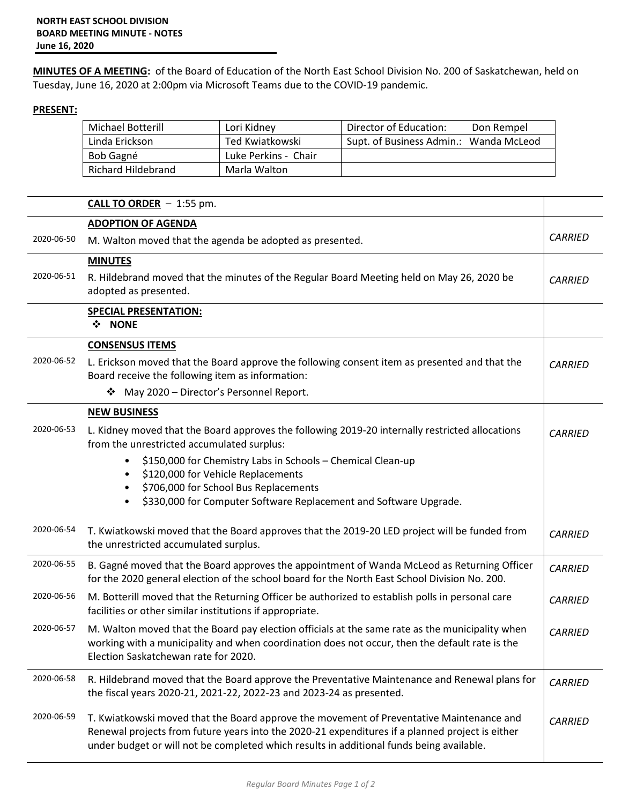**MINUTES OF A MEETING:** of the Board of Education of the North East School Division No. 200 of Saskatchewan, held on Tuesday, June 16, 2020 at 2:00pm via Microsoft Teams due to the COVID-19 pandemic.

## **PRESENT:**

| <b>Michael Botterill</b> | Lori Kidney          | Director of Education:<br>Don Rempel   |
|--------------------------|----------------------|----------------------------------------|
| Linda Erickson           | Ted Kwiatkowski      | Supt. of Business Admin.: Wanda McLeod |
| Bob Gagné                | Luke Perkins - Chair |                                        |
| Richard Hildebrand       | Marla Walton         |                                        |

|            | <b>CALL TO ORDER</b> $- 1:55$ pm.                                                                                                                                                                                                                                                       |                |  |
|------------|-----------------------------------------------------------------------------------------------------------------------------------------------------------------------------------------------------------------------------------------------------------------------------------------|----------------|--|
|            | <b>ADOPTION OF AGENDA</b>                                                                                                                                                                                                                                                               |                |  |
| 2020-06-50 | M. Walton moved that the agenda be adopted as presented.                                                                                                                                                                                                                                | <b>CARRIED</b> |  |
|            | <b>MINUTES</b>                                                                                                                                                                                                                                                                          |                |  |
| 2020-06-51 | R. Hildebrand moved that the minutes of the Regular Board Meeting held on May 26, 2020 be<br>adopted as presented.                                                                                                                                                                      | <b>CARRIED</b> |  |
|            | <b>SPECIAL PRESENTATION:</b>                                                                                                                                                                                                                                                            |                |  |
|            | ❖ NONE                                                                                                                                                                                                                                                                                  |                |  |
|            | <b>CONSENSUS ITEMS</b>                                                                                                                                                                                                                                                                  |                |  |
| 2020-06-52 | L. Erickson moved that the Board approve the following consent item as presented and that the<br>Board receive the following item as information:                                                                                                                                       | <b>CARRIED</b> |  |
|            | May 2020 - Director's Personnel Report.<br>❖                                                                                                                                                                                                                                            |                |  |
|            | <b>NEW BUSINESS</b>                                                                                                                                                                                                                                                                     |                |  |
| 2020-06-53 | L. Kidney moved that the Board approves the following 2019-20 internally restricted allocations<br>from the unrestricted accumulated surplus:                                                                                                                                           | <b>CARRIED</b> |  |
|            | \$150,000 for Chemistry Labs in Schools - Chemical Clean-up                                                                                                                                                                                                                             |                |  |
|            | \$120,000 for Vehicle Replacements                                                                                                                                                                                                                                                      |                |  |
|            | \$706,000 for School Bus Replacements                                                                                                                                                                                                                                                   |                |  |
|            | \$330,000 for Computer Software Replacement and Software Upgrade.                                                                                                                                                                                                                       |                |  |
| 2020-06-54 | T. Kwiatkowski moved that the Board approves that the 2019-20 LED project will be funded from                                                                                                                                                                                           | <b>CARRIED</b> |  |
|            | the unrestricted accumulated surplus.                                                                                                                                                                                                                                                   |                |  |
| 2020-06-55 | B. Gagné moved that the Board approves the appointment of Wanda McLeod as Returning Officer<br>for the 2020 general election of the school board for the North East School Division No. 200.                                                                                            | <b>CARRIED</b> |  |
| 2020-06-56 | M. Botterill moved that the Returning Officer be authorized to establish polls in personal care<br><b>CARRIED</b><br>facilities or other similar institutions if appropriate.                                                                                                           |                |  |
| 2020-06-57 | M. Walton moved that the Board pay election officials at the same rate as the municipality when<br><b>CARRIED</b><br>working with a municipality and when coordination does not occur, then the default rate is the<br>Election Saskatchewan rate for 2020.                             |                |  |
|            |                                                                                                                                                                                                                                                                                         |                |  |
| 2020-06-58 | R. Hildebrand moved that the Board approve the Preventative Maintenance and Renewal plans for<br>the fiscal years 2020-21, 2021-22, 2022-23 and 2023-24 as presented.                                                                                                                   |                |  |
| 2020-06-59 | T. Kwiatkowski moved that the Board approve the movement of Preventative Maintenance and<br>Renewal projects from future years into the 2020-21 expenditures if a planned project is either<br>under budget or will not be completed which results in additional funds being available. | <b>CARRIED</b> |  |